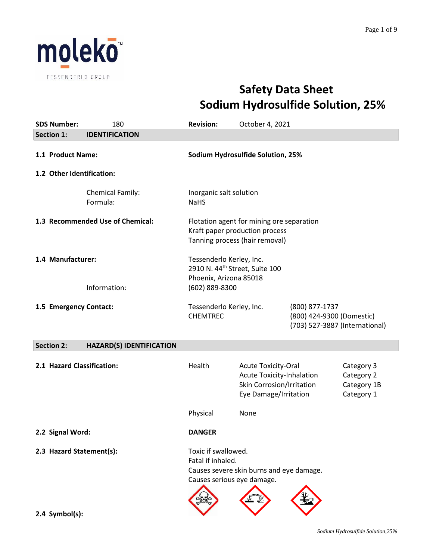

# **Safety Data Sheet Sodium Hydrosulfide Solution, 25%**

| <b>SDS Number:</b>                                                    | 180                              | <b>Revision:</b>                                                                                                   | October 4, 2021                                                                                                      |  |                                                       |
|-----------------------------------------------------------------------|----------------------------------|--------------------------------------------------------------------------------------------------------------------|----------------------------------------------------------------------------------------------------------------------|--|-------------------------------------------------------|
| <b>Section 1:</b>                                                     | <b>IDENTIFICATION</b>            |                                                                                                                    |                                                                                                                      |  |                                                       |
| 1.1 Product Name:<br>1.2 Other Identification:                        |                                  |                                                                                                                    | Sodium Hydrosulfide Solution, 25%                                                                                    |  |                                                       |
|                                                                       | Chemical Family:<br>Formula:     | Inorganic salt solution<br><b>NaHS</b>                                                                             |                                                                                                                      |  |                                                       |
|                                                                       | 1.3 Recommended Use of Chemical: |                                                                                                                    | Flotation agent for mining ore separation<br>Kraft paper production process<br>Tanning process (hair removal)        |  |                                                       |
| 1.4 Manufacturer:                                                     | Information:                     | Tessenderlo Kerley, Inc.<br>2910 N. 44 <sup>th</sup> Street, Suite 100<br>Phoenix, Arizona 85018<br>(602) 889-8300 |                                                                                                                      |  |                                                       |
| 1.5 Emergency Contact:<br>Tessenderlo Kerley, Inc.<br><b>CHEMTREC</b> |                                  | (800) 877-1737<br>(800) 424-9300 (Domestic)<br>(703) 527-3887 (International)                                      |                                                                                                                      |  |                                                       |
| <b>Section 2:</b>                                                     | <b>HAZARD(S) IDENTIFICATION</b>  |                                                                                                                    |                                                                                                                      |  |                                                       |
| 2.1 Hazard Classification:                                            |                                  | Health                                                                                                             | <b>Acute Toxicity-Oral</b><br><b>Acute Toxicity-Inhalation</b><br>Skin Corrosion/Irritation<br>Eye Damage/Irritation |  | Category 3<br>Category 2<br>Category 1B<br>Category 1 |
|                                                                       |                                  | Physical                                                                                                           | None                                                                                                                 |  |                                                       |
| 2.2 Signal Word:                                                      |                                  | <b>DANGER</b>                                                                                                      |                                                                                                                      |  |                                                       |
| 2.3 Hazard Statement(s):                                              |                                  | Toxic if swallowed.<br>Fatal if inhaled.<br>Causes serious eye damage.                                             | Causes severe skin burns and eye damage.                                                                             |  |                                                       |
| $2.4$ Symbol(s):                                                      |                                  |                                                                                                                    |                                                                                                                      |  |                                                       |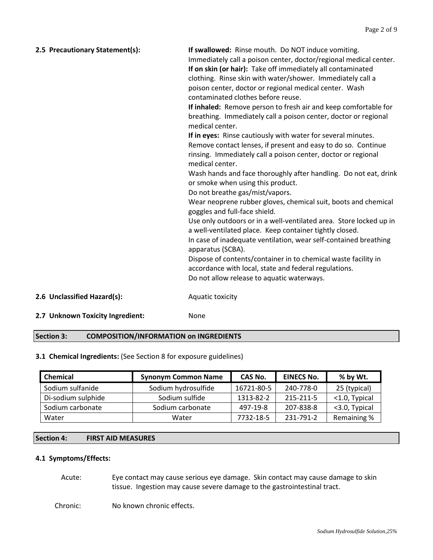| 2.5 Precautionary Statement(s):  | If swallowed: Rinse mouth. Do NOT induce vomiting.<br>Immediately call a poison center, doctor/regional medical center.<br>If on skin (or hair): Take off immediately all contaminated<br>clothing. Rinse skin with water/shower. Immediately call a<br>poison center, doctor or regional medical center. Wash<br>contaminated clothes before reuse.<br>If inhaled: Remove person to fresh air and keep comfortable for<br>breathing. Immediately call a poison center, doctor or regional<br>medical center.<br>If in eyes: Rinse cautiously with water for several minutes.<br>Remove contact lenses, if present and easy to do so. Continue<br>rinsing. Immediately call a poison center, doctor or regional<br>medical center.<br>Wash hands and face thoroughly after handling. Do not eat, drink<br>or smoke when using this product.<br>Do not breathe gas/mist/vapors.<br>Wear neoprene rubber gloves, chemical suit, boots and chemical<br>goggles and full-face shield.<br>Use only outdoors or in a well-ventilated area. Store locked up in<br>a well-ventilated place. Keep container tightly closed.<br>In case of inadequate ventilation, wear self-contained breathing<br>apparatus (SCBA).<br>Dispose of contents/container in to chemical waste facility in<br>accordance with local, state and federal regulations.<br>Do not allow release to aquatic waterways. |
|----------------------------------|--------------------------------------------------------------------------------------------------------------------------------------------------------------------------------------------------------------------------------------------------------------------------------------------------------------------------------------------------------------------------------------------------------------------------------------------------------------------------------------------------------------------------------------------------------------------------------------------------------------------------------------------------------------------------------------------------------------------------------------------------------------------------------------------------------------------------------------------------------------------------------------------------------------------------------------------------------------------------------------------------------------------------------------------------------------------------------------------------------------------------------------------------------------------------------------------------------------------------------------------------------------------------------------------------------------------------------------------------------------------------------------|
| 2.6 Unclassified Hazard(s):      | Aquatic toxicity                                                                                                                                                                                                                                                                                                                                                                                                                                                                                                                                                                                                                                                                                                                                                                                                                                                                                                                                                                                                                                                                                                                                                                                                                                                                                                                                                                     |
| 2.7 Unknown Toxicity Ingredient: | None                                                                                                                                                                                                                                                                                                                                                                                                                                                                                                                                                                                                                                                                                                                                                                                                                                                                                                                                                                                                                                                                                                                                                                                                                                                                                                                                                                                 |

## **Section 3: COMPOSITION/INFORMATION on INGREDIENTS**

# **3.1 Chemical Ingredients:** (See Section 8 for exposure guidelines)

| <b>Chemical</b>    | <b>Synonym Common Name</b> | CAS No.    | <b>EINECS No.</b> | % by Wt.         |
|--------------------|----------------------------|------------|-------------------|------------------|
| Sodium sulfanide   | Sodium hydrosulfide        | 16721-80-5 | 240-778-0         | 25 (typical)     |
| Di-sodium sulphide | Sodium sulfide             | 1313-82-2  | 215-211-5         | $<$ 1.0, Typical |
| Sodium carbonate   | Sodium carbonate           | 497-19-8   | 207-838-8         | <3.0, Typical    |
| Water              | Water                      | 7732-18-5  | 231-791-2         | Remaining %      |

# **Section 4: FIRST AID MEASURES**

## **4.1 Symptoms/Effects:**

Acute: Eye contact may cause serious eye damage. Skin contact may cause damage to skin tissue. Ingestion may cause severe damage to the gastrointestinal tract.

Chronic: No known chronic effects.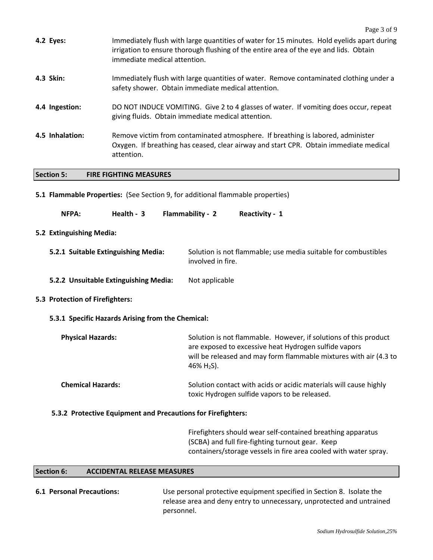|                                       |                                     |                                                                                                                                                                                        | Page 3 of 9                                                                                                                                                                                                     |  |
|---------------------------------------|-------------------------------------|----------------------------------------------------------------------------------------------------------------------------------------------------------------------------------------|-----------------------------------------------------------------------------------------------------------------------------------------------------------------------------------------------------------------|--|
|                                       | 4.2 Eyes:                           | immediate medical attention.                                                                                                                                                           | Immediately flush with large quantities of water for 15 minutes. Hold eyelids apart during<br>irrigation to ensure thorough flushing of the entire area of the eye and lids. Obtain                             |  |
|                                       | 4.3 Skin:                           |                                                                                                                                                                                        | Immediately flush with large quantities of water. Remove contaminated clothing under a<br>safety shower. Obtain immediate medical attention.                                                                    |  |
|                                       | 4.4 Ingestion:                      | DO NOT INDUCE VOMITING. Give 2 to 4 glasses of water. If vomiting does occur, repeat<br>giving fluids. Obtain immediate medical attention.                                             |                                                                                                                                                                                                                 |  |
|                                       | 4.5 Inhalation:                     | Remove victim from contaminated atmosphere. If breathing is labored, administer<br>Oxygen. If breathing has ceased, clear airway and start CPR. Obtain immediate medical<br>attention. |                                                                                                                                                                                                                 |  |
|                                       | <b>Section 5:</b>                   | <b>FIRE FIGHTING MEASURES</b>                                                                                                                                                          |                                                                                                                                                                                                                 |  |
|                                       |                                     |                                                                                                                                                                                        | 5.1 Flammable Properties: (See Section 9, for additional flammable properties)                                                                                                                                  |  |
|                                       | NFPA:                               | Health - 3                                                                                                                                                                             | Flammability - 2<br>Reactivity - 1                                                                                                                                                                              |  |
|                                       | 5.2 Extinguishing Media:            |                                                                                                                                                                                        |                                                                                                                                                                                                                 |  |
|                                       | 5.2.1 Suitable Extinguishing Media: |                                                                                                                                                                                        | Solution is not flammable; use media suitable for combustibles<br>involved in fire.                                                                                                                             |  |
| 5.2.2 Unsuitable Extinguishing Media: |                                     |                                                                                                                                                                                        | Not applicable                                                                                                                                                                                                  |  |
|                                       | 5.3 Protection of Firefighters:     |                                                                                                                                                                                        |                                                                                                                                                                                                                 |  |
|                                       |                                     | 5.3.1 Specific Hazards Arising from the Chemical:                                                                                                                                      |                                                                                                                                                                                                                 |  |
|                                       | <b>Physical Hazards:</b>            |                                                                                                                                                                                        | Solution is not flammable. However, if solutions of this product<br>are exposed to excessive heat Hydrogen sulfide vapors<br>will be released and may form flammable mixtures with air (4.3 to<br>46% $H_2S$ ). |  |
|                                       | <b>Chemical Hazards:</b>            |                                                                                                                                                                                        | Solution contact with acids or acidic materials will cause highly<br>toxic Hydrogen sulfide vapors to be released.                                                                                              |  |
|                                       |                                     | 5.3.2 Protective Equipment and Precautions for Firefighters:                                                                                                                           |                                                                                                                                                                                                                 |  |
|                                       |                                     |                                                                                                                                                                                        | Firefighters should wear self-contained breathing apparatus<br>(SCBA) and full fire-fighting turnout gear. Keep<br>containers/storage vessels in fire area cooled with water spray.                             |  |

# **Section 6: ACCIDENTAL RELEASE MEASURES**

| <b>6.1 Personal Precautions:</b> | Use personal protective equipment specified in Section 8. Isolate the |
|----------------------------------|-----------------------------------------------------------------------|
|                                  | release area and deny entry to unnecessary, unprotected and untrained |
|                                  | personnel.                                                            |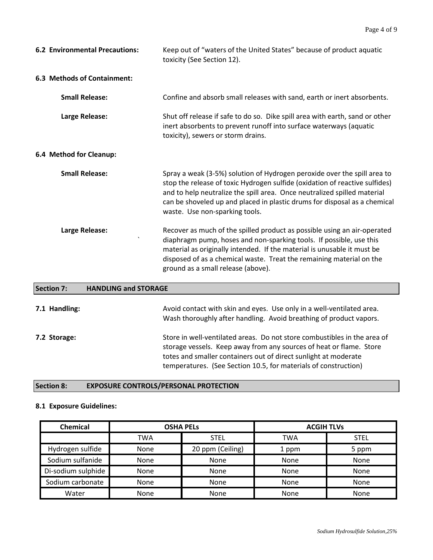| <b>6.2 Environmental Precautions:</b> | Keep out of "waters of the United States" because of product aquatic<br>toxicity (See Section 12).                                                                                                                                                                                                                                                 |
|---------------------------------------|----------------------------------------------------------------------------------------------------------------------------------------------------------------------------------------------------------------------------------------------------------------------------------------------------------------------------------------------------|
| <b>6.3 Methods of Containment:</b>    |                                                                                                                                                                                                                                                                                                                                                    |
| <b>Small Release:</b>                 | Confine and absorb small releases with sand, earth or inert absorbents.                                                                                                                                                                                                                                                                            |
| Large Release:                        | Shut off release if safe to do so. Dike spill area with earth, sand or other<br>inert absorbents to prevent runoff into surface waterways (aquatic<br>toxicity), sewers or storm drains.                                                                                                                                                           |
| 6.4 Method for Cleanup:               |                                                                                                                                                                                                                                                                                                                                                    |
| <b>Small Release:</b>                 | Spray a weak (3-5%) solution of Hydrogen peroxide over the spill area to<br>stop the release of toxic Hydrogen sulfide (oxidation of reactive sulfides)<br>and to help neutralize the spill area. Once neutralized spilled material<br>can be shoveled up and placed in plastic drums for disposal as a chemical<br>waste. Use non-sparking tools. |
| Large Release:<br>$\cdot$             | Recover as much of the spilled product as possible using an air-operated<br>diaphragm pump, hoses and non-sparking tools. If possible, use this<br>material as originally intended. If the material is unusable it must be<br>disposed of as a chemical waste. Treat the remaining material on the<br>ground as a small release (above).           |

| Section 7:    | <b>HANDLING and STORAGE</b>                                                                                                                                                                                                                                                           |
|---------------|---------------------------------------------------------------------------------------------------------------------------------------------------------------------------------------------------------------------------------------------------------------------------------------|
| 7.1 Handling: | Avoid contact with skin and eyes. Use only in a well-ventilated area.<br>Wash thoroughly after handling. Avoid breathing of product vapors.                                                                                                                                           |
| 7.2 Storage:  | Store in well-ventilated areas. Do not store combustibles in the area of<br>storage vessels. Keep away from any sources of heat or flame. Store<br>totes and smaller containers out of direct sunlight at moderate<br>temperatures. (See Section 10.5, for materials of construction) |

# **Section 8: EXPOSURE CONTROLS/PERSONAL PROTECTION**

# **8.1 Exposure Guidelines:**

| Chemical           | <b>OSHA PELS</b> |                  | <b>ACGIH TLVs</b> |             |
|--------------------|------------------|------------------|-------------------|-------------|
|                    | TWA              | <b>STEL</b>      | <b>TWA</b>        | <b>STEL</b> |
| Hydrogen sulfide   | None             | 20 ppm (Ceiling) | 1 ppm             | 5 ppm       |
| Sodium sulfanide   | <b>None</b>      | None             | None              | None        |
| Di-sodium sulphide | None             | None             | None              | None        |
| Sodium carbonate   | None             | None             | <b>None</b>       | None        |
| Water              | None             | None             | None              | None        |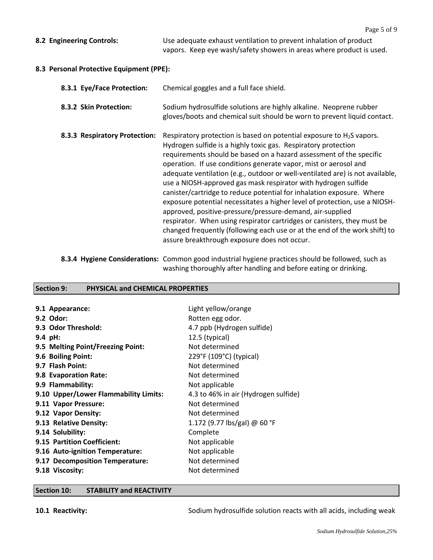**8.2 Engineering Controls:** Use adequate exhaust ventilation to prevent inhalation of product vapors. Keep eye wash/safety showers in areas where product is used.

## **8.3 Personal Protective Equipment (PPE):**

| 8.3.1 Eye/Face Protection:    | Chemical goggles and a full face shield.                                                                                                                                                                                                                                                                                                                                                                                                                                                                                                                                                                                                                                                                                                                                                                                                                             |
|-------------------------------|----------------------------------------------------------------------------------------------------------------------------------------------------------------------------------------------------------------------------------------------------------------------------------------------------------------------------------------------------------------------------------------------------------------------------------------------------------------------------------------------------------------------------------------------------------------------------------------------------------------------------------------------------------------------------------------------------------------------------------------------------------------------------------------------------------------------------------------------------------------------|
| 8.3.2 Skin Protection:        | Sodium hydrosulfide solutions are highly alkaline. Neoprene rubber<br>gloves/boots and chemical suit should be worn to prevent liquid contact.                                                                                                                                                                                                                                                                                                                                                                                                                                                                                                                                                                                                                                                                                                                       |
| 8.3.3 Respiratory Protection: | Respiratory protection is based on potential exposure to $H_2S$ vapors.<br>Hydrogen sulfide is a highly toxic gas. Respiratory protection<br>requirements should be based on a hazard assessment of the specific<br>operation. If use conditions generate vapor, mist or aerosol and<br>adequate ventilation (e.g., outdoor or well-ventilated are) is not available,<br>use a NIOSH-approved gas mask respirator with hydrogen sulfide<br>canister/cartridge to reduce potential for inhalation exposure. Where<br>exposure potential necessitates a higher level of protection, use a NIOSH-<br>approved, positive-pressure/pressure-demand, air-supplied<br>respirator. When using respirator cartridges or canisters, they must be<br>changed frequently (following each use or at the end of the work shift) to<br>assure breakthrough exposure does not occur. |

**8.3.4 Hygiene Considerations:** Common good industrial hygiene practices should be followed, such as washing thoroughly after handling and before eating or drinking.

# **Section 9: PHYSICAL and CHEMICAL PROPERTIES**

| 9.1 Appearance:                       | Light yellow/orange                  |
|---------------------------------------|--------------------------------------|
| 9.2 Odor:                             | Rotten egg odor.                     |
| 9.3 Odor Threshold:                   | 4.7 ppb (Hydrogen sulfide)           |
| $9.4$ pH:                             | 12.5 (typical)                       |
| 9.5 Melting Point/Freezing Point:     | Not determined                       |
| 9.6 Boiling Point:                    | 229°F (109°C) (typical)              |
| 9.7 Flash Point:                      | Not determined                       |
| 9.8 Evaporation Rate:                 | Not determined                       |
| 9.9 Flammability:                     | Not applicable                       |
| 9.10 Upper/Lower Flammability Limits: | 4.3 to 46% in air (Hydrogen sulfide) |
| 9.11 Vapor Pressure:                  | Not determined                       |
| 9.12 Vapor Density:                   | Not determined                       |
| 9.13 Relative Density:                | 1.172 (9.77 lbs/gal) @ 60 °F         |
| 9.14 Solubility:                      | Complete                             |
| 9.15 Partition Coefficient:           | Not applicable                       |
| 9.16 Auto-ignition Temperature:       | Not applicable                       |
| 9.17 Decomposition Temperature:       | Not determined                       |
| 9.18 Viscosity:                       | Not determined                       |

#### **Section 10: STABILITY and REACTIVITY**

**10.1 Reactivity:** Sodium hydrosulfide solution reacts with all acids, including weak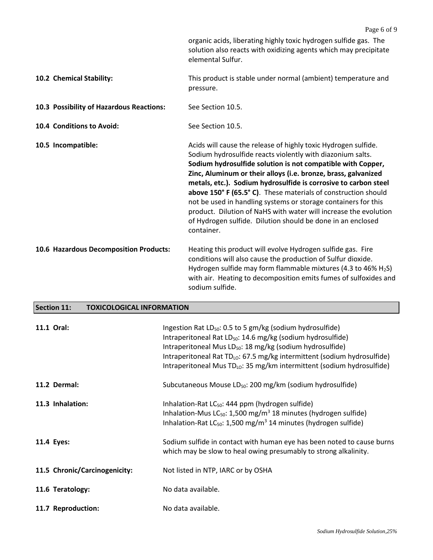|                                          | Page 6 of 9                                                                                                                                                                                                                                                                                                                                                                                                                                                                                                                                                                                                           |
|------------------------------------------|-----------------------------------------------------------------------------------------------------------------------------------------------------------------------------------------------------------------------------------------------------------------------------------------------------------------------------------------------------------------------------------------------------------------------------------------------------------------------------------------------------------------------------------------------------------------------------------------------------------------------|
|                                          | organic acids, liberating highly toxic hydrogen sulfide gas. The<br>solution also reacts with oxidizing agents which may precipitate<br>elemental Sulfur.                                                                                                                                                                                                                                                                                                                                                                                                                                                             |
| 10.2 Chemical Stability:                 | This product is stable under normal (ambient) temperature and<br>pressure.                                                                                                                                                                                                                                                                                                                                                                                                                                                                                                                                            |
| 10.3 Possibility of Hazardous Reactions: | See Section 10.5.                                                                                                                                                                                                                                                                                                                                                                                                                                                                                                                                                                                                     |
| 10.4 Conditions to Avoid:                | See Section 10.5.                                                                                                                                                                                                                                                                                                                                                                                                                                                                                                                                                                                                     |
| 10.5 Incompatible:                       | Acids will cause the release of highly toxic Hydrogen sulfide.<br>Sodium hydrosulfide reacts violently with diazonium salts.<br>Sodium hydrosulfide solution is not compatible with Copper,<br>Zinc, Aluminum or their alloys (i.e. bronze, brass, galvanized<br>metals, etc.). Sodium hydrosulfide is corrosive to carbon steel<br>above 150° F (65.5° C). These materials of construction should<br>not be used in handling systems or storage containers for this<br>product. Dilution of NaHS with water will increase the evolution<br>of Hydrogen sulfide. Dilution should be done in an enclosed<br>container. |
| 10.6 Hazardous Decomposition Products:   | Heating this product will evolve Hydrogen sulfide gas. Fire<br>conditions will also cause the production of Sulfur dioxide.<br>Hydrogen sulfide may form flammable mixtures (4.3 to 46% H <sub>2</sub> S)<br>with air. Heating to decomposition emits fumes of sulfoxides and<br>sodium sulfide.                                                                                                                                                                                                                                                                                                                      |

# **Section 11: TOXICOLOGICAL INFORMATION**

| 11.1 Oral:                    | Ingestion Rat LD <sub>50</sub> : 0.5 to 5 gm/kg (sodium hydrosulfide)<br>Intraperitoneal Rat LD <sub>50</sub> : 14.6 mg/kg (sodium hydrosulfide)<br>Intraperitoneal Mus LD <sub>50</sub> : 18 mg/kg (sodium hydrosulfide)<br>Intraperitoneal Rat TD <sub>Lo</sub> : 67.5 mg/kg intermittent (sodium hydrosulfide)<br>Intraperitoneal Mus $TD_{LO}$ : 35 mg/km intermittent (sodium hydrosulfide) |
|-------------------------------|--------------------------------------------------------------------------------------------------------------------------------------------------------------------------------------------------------------------------------------------------------------------------------------------------------------------------------------------------------------------------------------------------|
| 11.2 Dermal:                  | Subcutaneous Mouse LD <sub>50</sub> : 200 mg/km (sodium hydrosulfide)                                                                                                                                                                                                                                                                                                                            |
| 11.3 Inhalation:              | Inhalation-Rat $LC_{50}$ : 444 ppm (hydrogen sulfide)<br>Inhalation-Mus $LC_{50}$ : 1,500 mg/m <sup>3</sup> 18 minutes (hydrogen sulfide)<br>Inhalation-Rat $LC_{50}$ : 1,500 mg/m <sup>3</sup> 14 minutes (hydrogen sulfide)                                                                                                                                                                    |
| 11.4 Eyes:                    | Sodium sulfide in contact with human eye has been noted to cause burns<br>which may be slow to heal owing presumably to strong alkalinity.                                                                                                                                                                                                                                                       |
| 11.5 Chronic/Carcinogenicity: | Not listed in NTP, IARC or by OSHA                                                                                                                                                                                                                                                                                                                                                               |
| 11.6 Teratology:              | No data available.                                                                                                                                                                                                                                                                                                                                                                               |
| 11.7 Reproduction:            | No data available.                                                                                                                                                                                                                                                                                                                                                                               |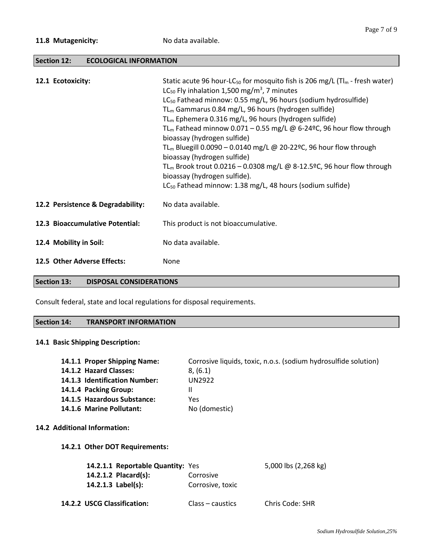## **Section 12: ECOLOGICAL INFORMATION**

| 12.1 Ecotoxicity:                 | Static acute 96 hour-LC <sub>50</sub> for mosquito fish is 206 mg/L ( $T\vert_{m}$ - fresh water)<br>LC <sub>50</sub> Fly inhalation 1,500 mg/m <sup>3</sup> , 7 minutes<br>LC <sub>50</sub> Fathead minnow: 0.55 mg/L, 96 hours (sodium hydrosulfide)<br>$TL_m$ Gammarus 0.84 mg/L, 96 hours (hydrogen sulfide)<br>$TL_m$ Ephemera 0.316 mg/L, 96 hours (hydrogen sulfide)<br>TL <sub>m</sub> Fathead minnow 0.071 – 0.55 mg/L @ 6-24 <sup>o</sup> C, 96 hour flow through<br>bioassay (hydrogen sulfide)<br>TL <sub>m</sub> Bluegill 0.0090 - 0.0140 mg/L @ 20-22°C, 96 hour flow through<br>bioassay (hydrogen sulfide)<br>TL <sub>m</sub> Brook trout 0.0216 – 0.0308 mg/L @ 8-12.5°C, 96 hour flow through<br>bioassay (hydrogen sulfide).<br>LC <sub>50</sub> Fathead minnow: 1.38 mg/L, 48 hours (sodium sulfide) |
|-----------------------------------|--------------------------------------------------------------------------------------------------------------------------------------------------------------------------------------------------------------------------------------------------------------------------------------------------------------------------------------------------------------------------------------------------------------------------------------------------------------------------------------------------------------------------------------------------------------------------------------------------------------------------------------------------------------------------------------------------------------------------------------------------------------------------------------------------------------------------|
| 12.2 Persistence & Degradability: | No data available.                                                                                                                                                                                                                                                                                                                                                                                                                                                                                                                                                                                                                                                                                                                                                                                                       |
| 12.3 Bioaccumulative Potential:   | This product is not bioaccumulative.                                                                                                                                                                                                                                                                                                                                                                                                                                                                                                                                                                                                                                                                                                                                                                                     |
| 12.4 Mobility in Soil:            | No data available.                                                                                                                                                                                                                                                                                                                                                                                                                                                                                                                                                                                                                                                                                                                                                                                                       |
| 12.5 Other Adverse Effects:       | None                                                                                                                                                                                                                                                                                                                                                                                                                                                                                                                                                                                                                                                                                                                                                                                                                     |

## **Section 13: DISPOSAL CONSIDERATIONS**

Consult federal, state and local regulations for disposal requirements.

#### **Section 14: TRANSPORT INFORMATION**

#### **14.1 Basic Shipping Description:**

| 14.1.1 Proper Shipping Name:        | Corrosive liquids, toxic, n.o.s. (sodium hydrosulfide solution) |
|-------------------------------------|-----------------------------------------------------------------|
| 14.1.2 Hazard Classes:              | 8, (6.1)                                                        |
| 14.1.3 Identification Number:       | <b>UN2922</b>                                                   |
| 14.1.4 Packing Group:               |                                                                 |
| 14.1.5 Hazardous Substance:         | Yes                                                             |
| 14.1.6 Marine Pollutant:            | No (domestic)                                                   |
|                                     |                                                                 |
| <b>14.2 Additional Information:</b> |                                                                 |

#### **14.2.1 Other DOT Requirements:**

| 14.2.1.1 Reportable Quantity: Yes |                  | 5,000 lbs (2,268 kg) |
|-----------------------------------|------------------|----------------------|
| 14.2.1.2 Placard(s):              | Corrosive        |                      |
| 14.2.1.3 $Label(s):$              | Corrosive, toxic |                      |
| 14.2.2 USCG Classification:       | Class – caustics | Chris Code: SHR      |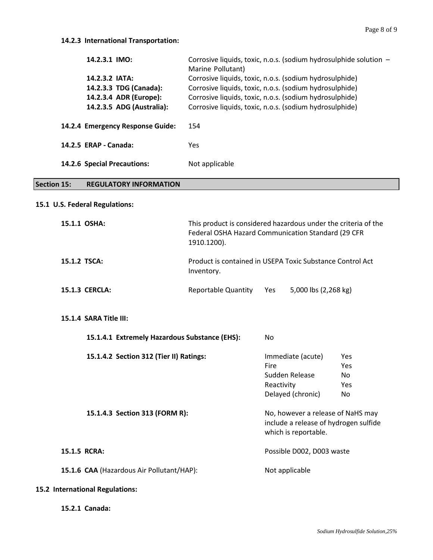| 14.2.3.1 IMO:                    | Corrosive liquids, toxic, n.o.s. (sodium hydrosulphide solution -<br>Marine Pollutant) |  |  |
|----------------------------------|----------------------------------------------------------------------------------------|--|--|
| 14.2.3.2 IATA:                   | Corrosive liquids, toxic, n.o.s. (sodium hydrosulphide)                                |  |  |
| 14.2.3.3 TDG (Canada):           | Corrosive liquids, toxic, n.o.s. (sodium hydrosulphide)                                |  |  |
| 14.2.3.4 ADR (Europe):           | Corrosive liquids, toxic, n.o.s. (sodium hydrosulphide)                                |  |  |
| 14.2.3.5 ADG (Australia):        | Corrosive liquids, toxic, n.o.s. (sodium hydrosulphide)                                |  |  |
| 14.2.4 Emergency Response Guide: | 154                                                                                    |  |  |
| 14.2.5 ERAP - Canada:            | Yes                                                                                    |  |  |
| 14.2.6 Special Precautions:      | Not applicable                                                                         |  |  |

# **Section 15: REGULATORY INFORMATION**

#### **15.1 U.S. Federal Regulations:**

| 15.1.1 OSHA:          | This product is considered hazardous under the criteria of the<br>Federal OSHA Hazard Communication Standard (29 CFR<br>1910.1200). |  |  |
|-----------------------|-------------------------------------------------------------------------------------------------------------------------------------|--|--|
| 15.1.2 TSCA:          | Product is contained in USEPA Toxic Substance Control Act<br>Inventory.                                                             |  |  |
| <b>15.1.3 CERCLA:</b> | 5,000 lbs (2,268 kg)<br>Reportable Quantity<br><b>Yes</b>                                                                           |  |  |

#### **15.1.4 SARA Title III:**

|              | 15.1.4.1 Extremely Hazardous Substance (EHS): | No.                                                                                                |            |  |
|--------------|-----------------------------------------------|----------------------------------------------------------------------------------------------------|------------|--|
|              | 15.1.4.2 Section 312 (Tier II) Ratings:       | Immediate (acute)                                                                                  | <b>Yes</b> |  |
|              |                                               | Fire                                                                                               | Yes        |  |
|              |                                               | Sudden Release                                                                                     | No.        |  |
|              |                                               | Reactivity                                                                                         | <b>Yes</b> |  |
|              |                                               | Delayed (chronic)                                                                                  | No.        |  |
|              | 15.1.4.3 Section 313 (FORM R):                | No, however a release of NaHS may<br>include a release of hydrogen sulfide<br>which is reportable. |            |  |
| 15.1.5 RCRA: |                                               | Possible D002, D003 waste                                                                          |            |  |
|              | 15.1.6 CAA (Hazardous Air Pollutant/HAP):     | Not applicable                                                                                     |            |  |
|              |                                               |                                                                                                    |            |  |

#### **15.2 International Regulations:**

**15.2.1 Canada:**